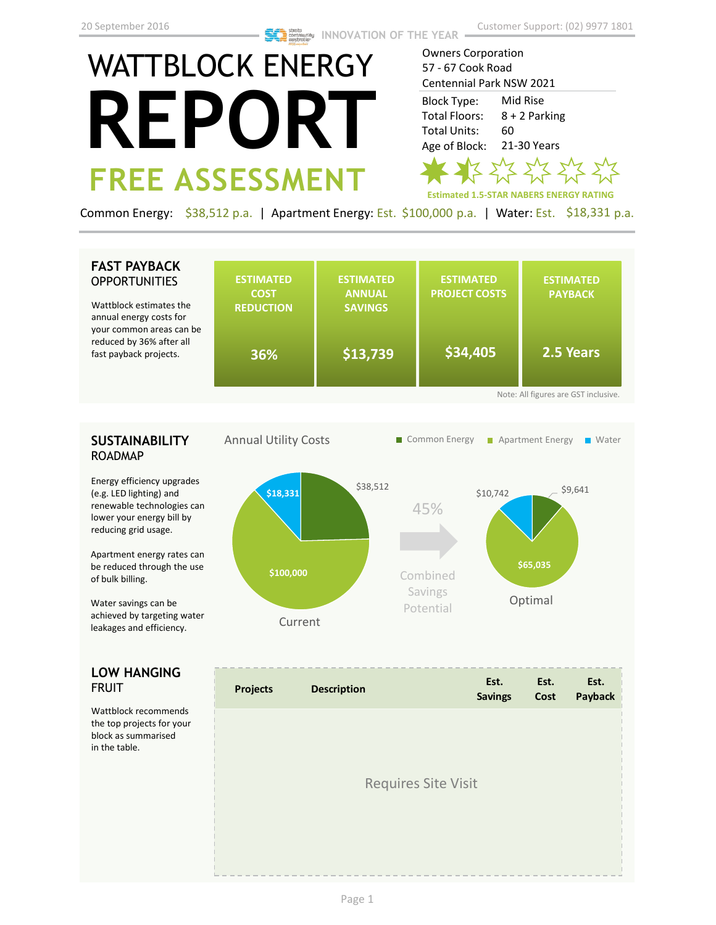# WATTBLOCK ENERGY **REPORT FREE ASSESSMENT**

Owners Corporation 57 - 67 Cook Road Centennial Park NSW 2021

Mid Rise 8 + 2 Parking 60 21-30 Years Block Type: Total Floors: Total Units: Age of Block:



Common Energy: \$38,512 p.a. | Apartment Energy: Est. \$100,000 p.a. | Water: Est. \$18,331 p.a.

# **FAST PAYBACK OPPORTUNITIES**

Wattblock estimates the annual energy costs for your common areas ca reduced by 36% after fast payback projects.

| :he<br>эr    | <b>ESTIMATED</b><br><b>COST</b><br><b>REDUCTION</b> | <b>ESTIMATED</b><br><b>ANNUAL</b><br><b>SAVINGS</b> | <b>ESTIMATED</b><br><b>PROJECT COSTS</b> | <b>ESTIMATED</b><br><b>PAYBACK</b> |  |  |  |  |
|--------------|-----------------------------------------------------|-----------------------------------------------------|------------------------------------------|------------------------------------|--|--|--|--|
| an be<br>all | 36%                                                 | \$13,739                                            | \$34,405                                 | 2.5 Years                          |  |  |  |  |
|              | Note: All figures are GST inclusive.                |                                                     |                                          |                                    |  |  |  |  |

# **SUSTAINABILITY** ROADMAP

Energy efficiency upgrades (e.g. LED lighting) and renewable technologies can lower your energy bill by reducing grid usage.

Apartment energy rates can be reduced through the use of bulk billing.

Water savings can be achieved by targeting water leakages and efficiency.

# **LOW HANGING**  FRUIT

Wattblock recommends the top projects for your block as summarised in the table.